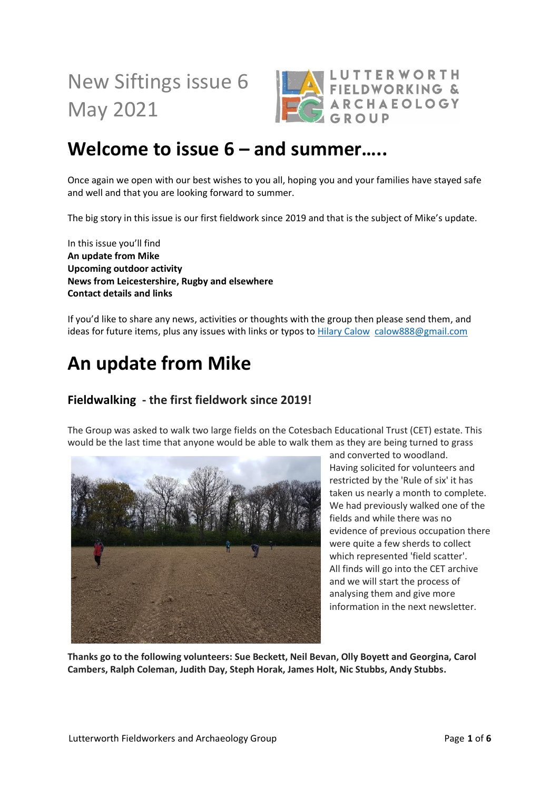# New Siftings issue 6 May 2021



### **Welcome to issue 6 – and summer…..**

Once again we open with our best wishes to you all, hoping you and your families have stayed safe and well and that you are looking forward to summer.

The big story in this issue is our first fieldwork since 2019 and that is the subject of Mike's update.

In this issue you'll find **An update from Mike Upcoming outdoor activity News from Leicestershire, Rugby and elsewhere Contact details and links**

If you'd like to share any news, activities or thoughts with the group then please send them, and ideas for future items, plus any issues with links or typos to [Hilary Calow](mailto:calow888@gmail.com) [calow888@gmail.com](mailto:calow888@gmail.com)

### **An update from Mike**

#### **Fieldwalking - the first fieldwork since 2019!**

The Group was asked to walk two large fields on the Cotesbach Educational Trust (CET) estate. This would be the last time that anyone would be able to walk them as they are being turned to grass



and converted to woodland. Having solicited for volunteers and restricted by the 'Rule of six' it has taken us nearly a month to complete. We had previously walked one of the fields and while there was no evidence of previous occupation there were quite a few sherds to collect which represented 'field scatter'. All finds will go into the CET archive and we will start the process of analysing them and give more information in the next newsletter.

**Thanks go to the following volunteers: Sue Beckett, Neil Bevan, Olly Boyett and Georgina, Carol Cambers, Ralph Coleman, Judith Day, Steph Horak, James Holt, Nic Stubbs, Andy Stubbs.**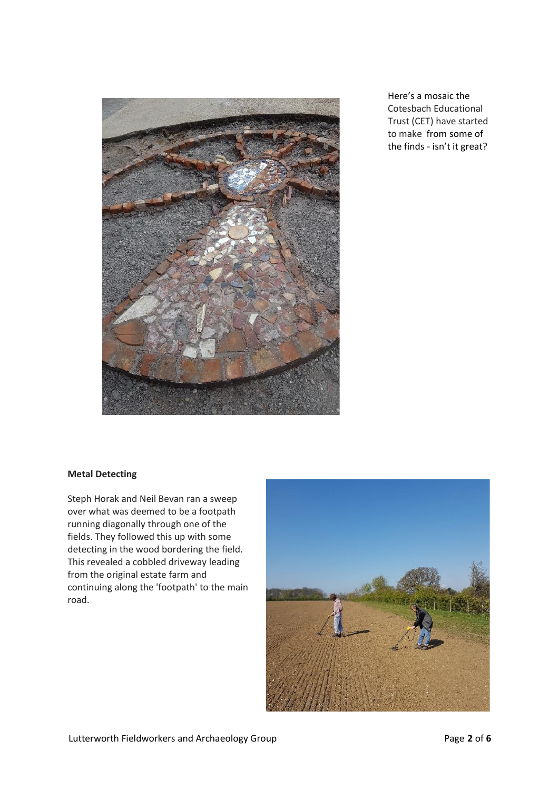

Here's a mosaic the Cotesbach Educational Trust (CET) have started to make from some of the finds - isn't it great?

#### **Metal Detecting**

Steph Horak and Neil Bevan ran a sweep over what was deemed to be a footpath running diagonally through one of the fields. They followed this up with some detecting in the wood bordering the field. This revealed a cobbled driveway leading from the original estate farm and continuing along the 'footpath' to the main road.

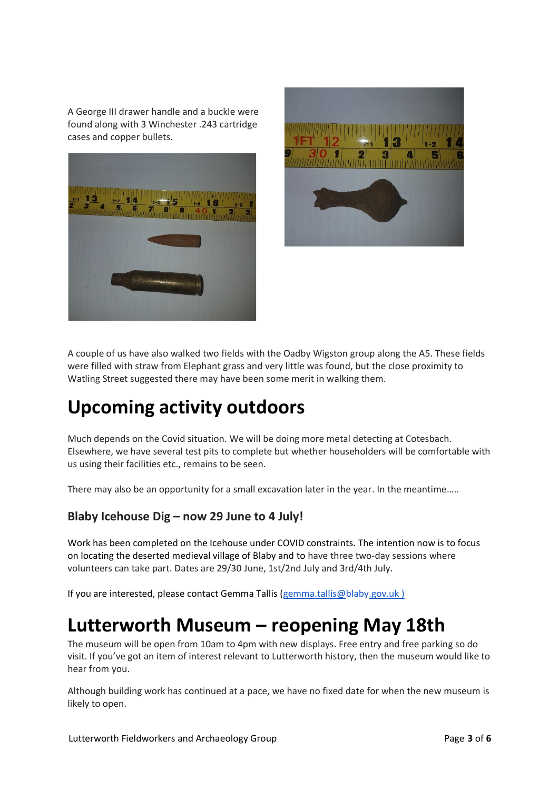A George III drawer handle and a buckle were found along with 3 Winchester .243 cartridge cases and copper bullets.





A couple of us have also walked two fields with the Oadby Wigston group along the A5. These fields were filled with straw from Elephant grass and very little was found, but the close proximity to Watling Street suggested there may have been some merit in walking them.

### **Upcoming activity outdoors**

Much depends on the Covid situation. We will be doing more metal detecting at Cotesbach. Elsewhere, we have several test pits to complete but whether householders will be comfortable with us using their facilities etc., remains to be seen.

There may also be an opportunity for a small excavation later in the year. In the meantime.....

#### **Blaby Icehouse Dig – now 29 June to 4 July!**

Work has been completed on the Icehouse under COVID constraints. The intention now is to focus on locating the deserted medieval village of Blaby and to have three two-day sessions where volunteers can take part. Dates are 29/30 June, 1st/2nd July and 3rd/4th July.

If you are interested, please contact Gemma Tallis [\(gemma.tallis@blaby.gov.uk](mailto:gemma.tallis@blaby.gov.uk) )

#### **Lutterworth Museum – reopening May 18th**

The museum will be open from 10am to 4pm with new displays. Free entry and free parking so do visit. If you've got an item of interest relevant to Lutterworth history, then the museum would like to hear from you.

Although building work has continued at a pace, we have no fixed date for when the new museum is likely to open.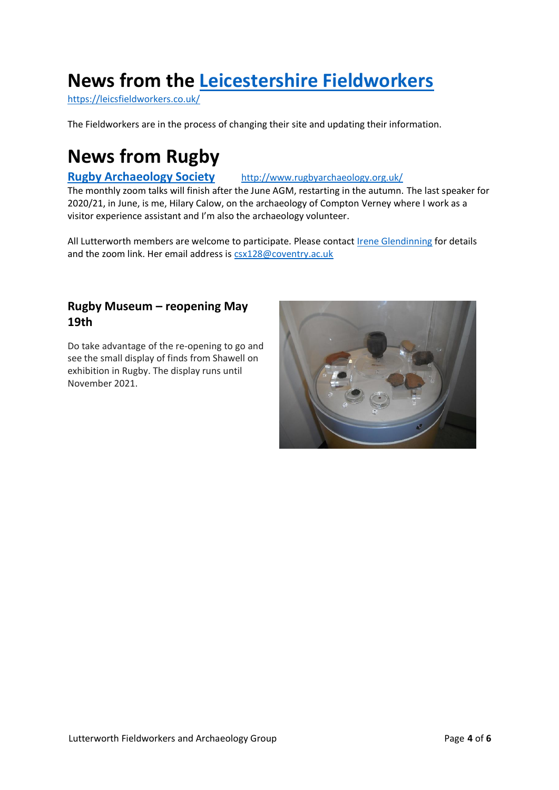# **News from the [Leicestershire Fieldworkers](https://leicsfieldworkers.co.uk/)**

<https://leicsfieldworkers.co.uk/>

The Fieldworkers are in the process of changing their site and updating their information.

### **News from Rugby**

#### **[Rugby Archaeology Society](http://www.rugbyarchaeology.org.uk/)** <http://www.rugbyarchaeology.org.uk/>

The monthly zoom talks will finish after the June AGM, restarting in the autumn. The last speaker for 2020/21, in June, is me, Hilary Calow, on the archaeology of Compton Verney where I work as a visitor experience assistant and I'm also the archaeology volunteer.

All Lutterworth members are welcome to participate. Please contact [Irene Glendinning](mailto:csx128@coventry.ac.uk) for details and the zoom link. Her email address is [csx128@coventry.ac.uk](mailto:csx128@coventry.ac.uk)

#### **Rugby Museum – reopening May 19th**

Do take advantage of the re-opening to go and see the small display of finds from Shawell on exhibition in Rugby. The display runs until November 2021.

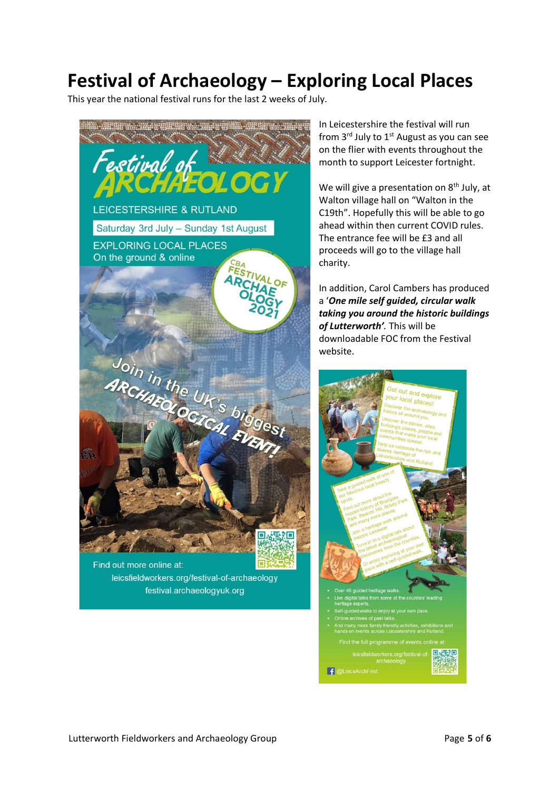# **Festival of Archaeology – Exploring Local Places**

This year the national festival runs for the last 2 weeks of July.



Find out more online at: leicsfieldworkers.org/festival-of-archaeology festival.archaeologyuk.org

In Leicestershire the festival will run from 3<sup>rd</sup> July to 1<sup>st</sup> August as you can see on the flier with events throughout the month to support Leicester fortnight.

We will give a presentation on  $8<sup>th</sup>$  July, at Walton village hall on "Walton in the C19th". Hopefully this will be able to go ahead within then current COVID rules. The entrance fee will be £3 and all proceeds will go to the village hall charity.

In addition, Carol Cambers has produced a '*One mile self guided, circular walk taking you around the historic buildings of Lutterworth'.* This will be downloadable FOC from the Festival website.